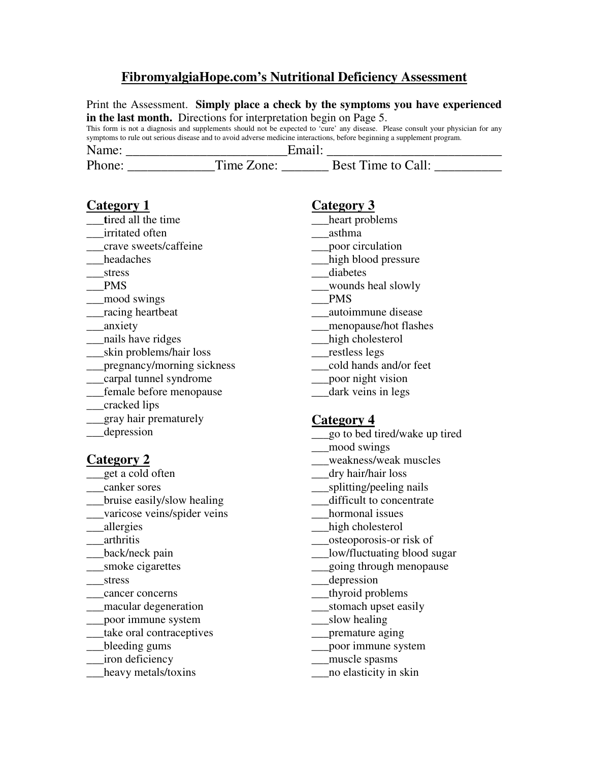# **FibromyalgiaHope.com's Nutritional Deficiency Assessment**

| in the last month. Directions for interpretation begin on Page 5.<br>This form is not a diagnosis and supplements should not be expected to 'cure' any disease. Please consult your physician for any<br>symptoms to rule out serious disease and to avoid adverse medicine interactions, before beginning a supplement program.                     |                                                                                                                                                                                                                                                                                                                                                                                                  |  |
|------------------------------------------------------------------------------------------------------------------------------------------------------------------------------------------------------------------------------------------------------------------------------------------------------------------------------------------------------|--------------------------------------------------------------------------------------------------------------------------------------------------------------------------------------------------------------------------------------------------------------------------------------------------------------------------------------------------------------------------------------------------|--|
|                                                                                                                                                                                                                                                                                                                                                      |                                                                                                                                                                                                                                                                                                                                                                                                  |  |
| Category 1<br>tired all the time<br>irritated often<br>crave sweets/caffeine<br>headaches<br>stress<br><b>PMS</b><br>mood swings<br>racing heartbeat<br>_anxiety<br>nails have ridges<br>skin problems/hair loss                                                                                                                                     | <b>Category 3</b><br>heart problems<br>asthma<br>__poor circulation<br>high blood pressure<br>diabetes<br>wounds heal slowly<br><b>PMS</b><br>autoimmune disease<br>_menopause/hot flashes<br>high cholesterol<br>restless legs                                                                                                                                                                  |  |
| pregnancy/morning sickness<br>carpal tunnel syndrome<br>female before menopause<br>cracked lips<br>gray hair prematurely<br>depression                                                                                                                                                                                                               | cold hands and/or feet<br>poor night vision<br>dark veins in legs<br><b>Category 4</b><br>go to bed tired/wake up tired<br>mood swings                                                                                                                                                                                                                                                           |  |
| <b>Category 2</b><br>get a cold often<br>canker sores<br>bruise easily/slow healing<br>varicose veins/spider veins<br>allergies<br>arthritis<br>back/neck pain<br>smoke cigarettes<br>stress<br>cancer concerns<br>macular degeneration<br>poor immune system<br>take oral contraceptives<br>bleeding gums<br>iron deficiency<br>heavy metals/toxins | weakness/weak muscles<br>___dry hair/hair loss<br>_splitting/peeling nails<br>difficult to concentrate<br>hormonal issues<br>high cholesterol<br>osteoporosis-or risk of<br>low/fluctuating blood sugar<br>going through menopause<br>_depression<br>thyroid problems<br>stomach upset easily<br>slow healing<br>premature aging<br>poor immune system<br>muscle spasms<br>no elasticity in skin |  |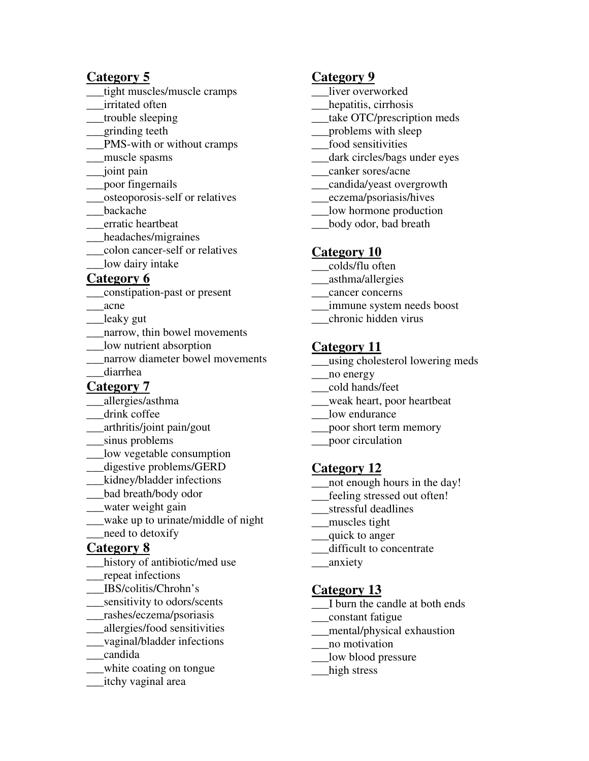### **Category 5**

- tight muscles/muscle cramps
- \_\_\_irritated often
- \_\_\_trouble sleeping
- \_\_\_grinding teeth
- \_\_\_PMS-with or without cramps
- \_\_\_muscle spasms
- \_\_\_joint pain
- \_\_\_poor fingernails
- \_\_\_osteoporosis-self or relatives
- \_\_\_backache
- \_\_\_erratic heartbeat
- \_\_\_headaches/migraines
- \_\_\_colon cancer-self or relatives
- \_\_\_low dairy intake

### **Category 6**

- \_\_\_constipation-past or present
- \_\_\_acne
- \_\_\_leaky gut
- narrow, thin bowel movements
- \_\_\_low nutrient absorption
- narrow diameter bowel movements \_\_\_diarrhea

# **Category 7**

- \_\_\_allergies/asthma
- drink coffee
- \_\_\_arthritis/joint pain/gout
- \_\_\_sinus problems
- \_\_\_low vegetable consumption
- \_\_\_digestive problems/GERD
- \_\_\_kidney/bladder infections
- \_\_\_bad breath/body odor
- \_\_\_water weight gain
- \_\_\_wake up to urinate/middle of night
- \_\_\_need to detoxify

### **Category 8**

- history of antibiotic/med use
- \_\_\_repeat infections
- \_\_\_IBS/colitis/Chrohn's
- \_\_\_sensitivity to odors/scents
- \_\_\_rashes/eczema/psoriasis
- \_\_\_allergies/food sensitivities
- \_\_\_vaginal/bladder infections
- \_\_\_candida
- \_\_\_white coating on tongue
- \_\_\_itchy vaginal area

#### **Category 9**

- liver overworked
- hepatitis, cirrhosis
- \_\_\_take OTC/prescription meds
- \_\_\_problems with sleep
- \_\_\_food sensitivities
- \_\_\_dark circles/bags under eyes
- \_\_\_canker sores/acne
- \_\_\_candida/yeast overgrowth
- \_\_\_eczema/psoriasis/hives
- \_\_\_low hormone production
- \_\_\_body odor, bad breath

### **Category 10**

- \_\_\_colds/flu often
- \_\_\_asthma/allergies
- \_\_\_cancer concerns
- \_\_\_immune system needs boost
- \_\_\_chronic hidden virus

### **Category 11**

- \_\_\_using cholesterol lowering meds
- \_\_\_no energy
- \_\_\_cold hands/feet
- \_\_\_weak heart, poor heartbeat
- \_\_\_low endurance
- \_\_\_poor short term memory
- \_\_\_poor circulation

### **Category 12**

- \_\_\_not enough hours in the day!
- \_\_\_feeling stressed out often!
- \_\_\_stressful deadlines
- \_\_\_muscles tight
- \_\_\_quick to anger
- difficult to concentrate
- \_\_\_anxiety

### **Category 13**

- \_\_\_I burn the candle at both ends
- \_\_\_constant fatigue
- \_\_\_mental/physical exhaustion
- \_\_\_no motivation
- \_\_\_low blood pressure
- \_\_\_high stress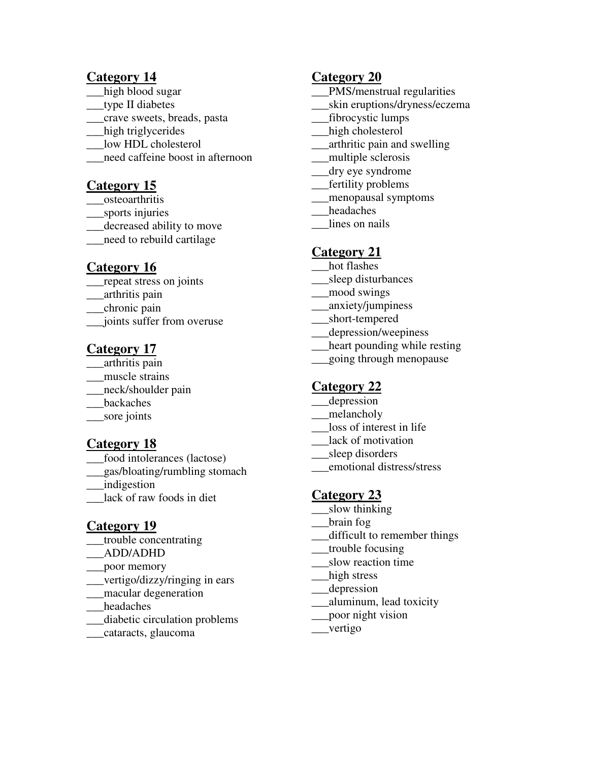#### **Category 14**

- high blood sugar
- \_\_\_type II diabetes
- \_\_\_crave sweets, breads, pasta
- \_\_\_high triglycerides
- \_\_\_low HDL cholesterol
- \_\_\_need caffeine boost in afternoon

# **Category 15**

- \_\_\_osteoarthritis
- \_\_\_sports injuries
- \_\_\_decreased ability to move
- \_\_\_need to rebuild cartilage

### **Category 16**

- \_\_\_repeat stress on joints
- \_\_\_arthritis pain
- \_\_\_chronic pain
- \_\_\_joints suffer from overuse

# **Category 17**

- $\frac{1}{\sqrt{2}}$  arthritis pain
- muscle strains
- \_\_\_neck/shoulder pain
- \_\_\_backaches
- \_\_\_sore joints

# **Category 18**

- food intolerances (lactose)
- \_\_\_gas/bloating/rumbling stomach
- \_\_\_indigestion
- lack of raw foods in diet

### **Category 19**

- \_\_\_trouble concentrating
- \_\_\_ADD/ADHD
- \_\_\_poor memory
- \_\_\_vertigo/dizzy/ringing in ears
- \_\_\_macular degeneration
- \_\_\_headaches
- \_\_\_diabetic circulation problems
- \_\_\_cataracts, glaucoma

### **Category 20**

- \_\_\_PMS/menstrual regularities
- \_\_\_skin eruptions/dryness/eczema
- \_\_\_fibrocystic lumps
- \_\_\_high cholesterol
- \_\_\_arthritic pain and swelling
- \_\_\_multiple sclerosis
- \_\_\_dry eye syndrome
- \_\_\_fertility problems
- \_\_\_menopausal symptoms
- headaches
- lines on nails

# **Category 21**

- hot flashes
- \_\_\_sleep disturbances
- \_\_\_mood swings
- \_\_\_anxiety/jumpiness
- \_\_\_short-tempered
- \_\_\_depression/weepiness
- \_\_\_heart pounding while resting
- \_\_\_going through menopause

### **Category 22**

- \_\_\_depression
- \_\_\_melancholy
- \_\_\_loss of interest in life
- \_\_\_lack of motivation
- \_\_sleep disorders
- \_\_\_emotional distress/stress

# **Category 23**

- slow thinking
- \_\_\_brain fog
- \_\_\_difficult to remember things
- \_\_\_trouble focusing
- \_\_\_slow reaction time
- high stress
- \_\_\_depression
- \_\_\_aluminum, lead toxicity
- \_\_\_poor night vision
- \_\_\_vertigo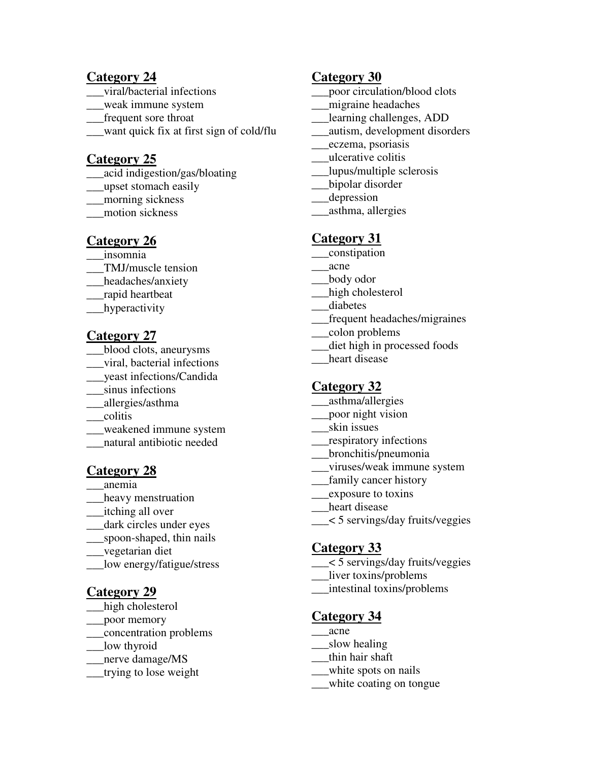#### **Category 24**

- \_\_\_viral/bacterial infections
- \_\_\_weak immune system
- \_\_\_frequent sore throat
- \_\_\_want quick fix at first sign of cold/flu

### **Category 25**

- \_\_\_acid indigestion/gas/bloating
- \_\_\_upset stomach easily
- \_\_\_morning sickness
- \_\_\_motion sickness

### **Category 26**

- \_\_\_insomnia
- \_\_\_TMJ/muscle tension
- \_\_\_headaches/anxiety
- \_\_\_rapid heartbeat
- hyperactivity

### **Category 27**

- \_\_\_blood clots, aneurysms
- \_\_\_viral, bacterial infections
- \_\_\_yeast infections/Candida
- \_\_\_sinus infections
- \_\_\_allergies/asthma
- \_\_\_colitis
- \_\_\_weakened immune system
- \_\_\_natural antibiotic needed

### **Category 28**

- \_\_\_anemia
- heavy menstruation
- \_\_\_itching all over
- dark circles under eyes
- \_\_\_spoon-shaped, thin nails
- \_\_\_vegetarian diet
- \_\_\_low energy/fatigue/stress

### **Category 29**

- high cholesterol
- \_\_\_poor memory
- \_\_\_concentration problems
- \_\_\_low thyroid
- \_nerve damage/MS
- \_\_\_trying to lose weight

#### **Category 30**

- poor circulation/blood clots
- \_\_\_migraine headaches
- \_\_\_learning challenges, ADD
- \_\_\_autism, development disorders
- \_\_\_eczema, psoriasis
- \_\_\_ulcerative colitis
- \_\_\_lupus/multiple sclerosis
- \_\_\_bipolar disorder
- \_\_\_depression
- \_\_\_asthma, allergies

# **Category 31**

- \_\_\_constipation
- \_\_\_acne
- \_\_\_body odor
- \_\_\_high cholesterol
- \_\_\_diabetes
- \_\_\_frequent headaches/migraines
- \_\_\_colon problems
- diet high in processed foods
- heart disease

### **Category 32**

- \_\_\_asthma/allergies
- \_\_\_poor night vision
- \_\_\_skin issues
- \_\_\_respiratory infections
- \_\_\_bronchitis/pneumonia
- \_\_\_viruses/weak immune system
- \_\_\_family cancer history
- \_\_\_exposure to toxins
- heart disease
- \_\_\_< 5 servings/day fruits/veggies

### **Category 33**

- \_\_\_< 5 servings/day fruits/veggies
- \_\_\_liver toxins/problems
- \_\_\_intestinal toxins/problems

### **Category 34**

- \_\_\_acne
- slow healing
- \_\_\_thin hair shaft
- \_\_\_white spots on nails
- \_\_\_white coating on tongue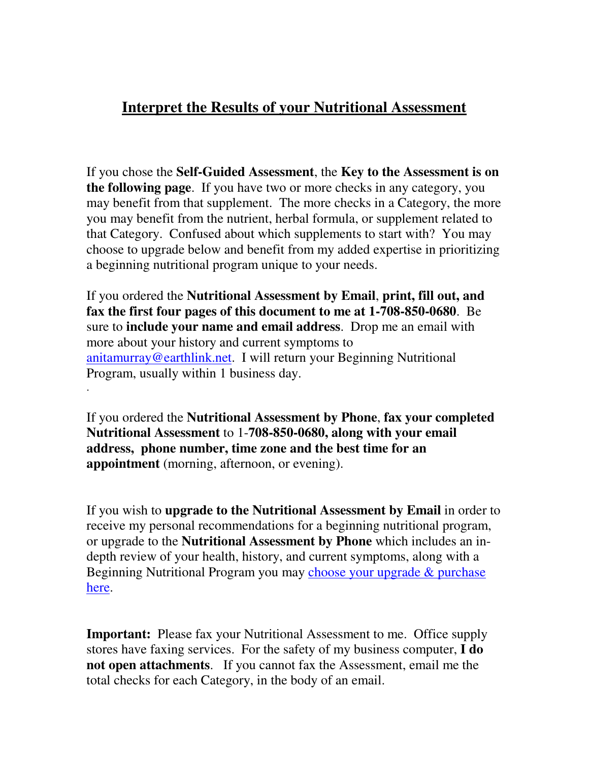# **Interpret the Results of your Nutritional Assessment**

If you chose the **Self-Guided Assessment**, the **Key to the Assessment is on the following page**. If you have two or more checks in any category, you may benefit from that supplement. The more checks in a Category, the more you may benefit from the nutrient, herbal formula, or supplement related to that Category. Confused about which supplements to start with? You may choose to upgrade below and benefit from my added expertise in prioritizing a beginning nutritional program unique to your needs.

If you ordered the **Nutritional Assessment by Email**, **print, fill out, and fax the first four pages of this document to me at 1-708-850-0680**. Be sure to **include your name and email address**. Drop me an email with more about your history and current symptoms to [anitamurray@earthlink.net.](mailto:anitamurray@earthlink.net) I will return your Beginning Nutritional Program, usually within 1 business day.

.

If you ordered the **Nutritional Assessment by Phone**, **fax your completed Nutritional Assessment** to 1-**708-850-0680, along with your email address, phone number, time zone and the best time for an appointment** (morning, afternoon, or evening).

If you wish to **upgrade to the Nutritional Assessment by Email** in order to receive my personal recommendations for a beginning nutritional program, or upgrade to the **Nutritional Assessment by Phone** which includes an indepth review of your health, history, and current symptoms, along with a Beginning Nutritional Program you may [choose your upgrade & purchase](http://www.fibromyalgiahope.com/nutritional_assessment.html) [here.](http://www.fibromyalgiahope.com/nutritional_assessment.html) 

**Important:** Please fax your Nutritional Assessment to me. Office supply stores have faxing services. For the safety of my business computer, **I do not open attachments**. If you cannot fax the Assessment, email me the total checks for each Category, in the body of an email.